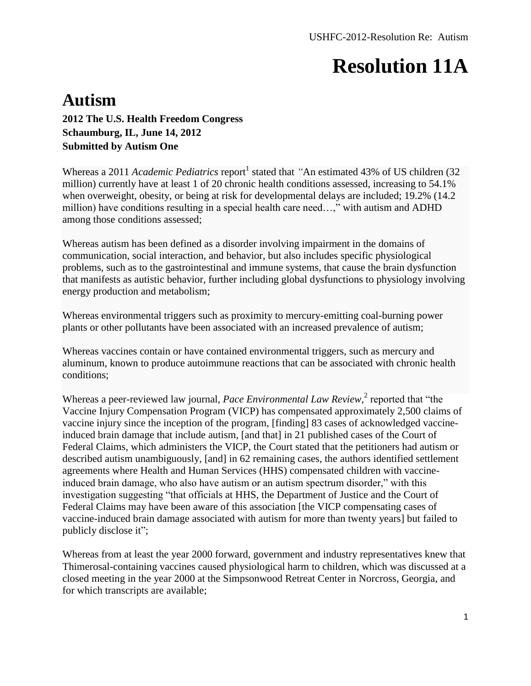#### **Autism**

**2012 The U.S. Health Freedom Congress Schaumburg, IL, June 14, 2012 Submitted by Autism One**

Whereas a 2011 *Academic Pediatrics* report<sup>1</sup> stated that "An estimated 43% of US children (32) million) currently have at least 1 of 20 chronic health conditions assessed, increasing to 54.1% when overweight, obesity, or being at risk for developmental delays are included; 19.2% (14.2 million) have conditions resulting in a special health care need…," with autism and ADHD among those conditions assessed;

Whereas autism has been defined as a disorder involving impairment in the domains of communication, social interaction, and behavior, but also includes specific physiological problems, such as to the gastrointestinal and immune systems, that cause the brain dysfunction that manifests as autistic behavior, further including global dysfunctions to physiology involving energy production and metabolism;

Whereas environmental triggers such as proximity to mercury-emitting coal-burning power plants or other pollutants have been associated with an increased prevalence of autism;

Whereas vaccines contain or have contained environmental triggers, such as mercury and aluminum, known to produce autoimmune reactions that can be associated with chronic health conditions;

Whereas a peer-reviewed law journal, *Pace Environmental Law Review*,<sup>2</sup> reported that "the Vaccine Injury Compensation Program (VICP) has compensated approximately 2,500 claims of vaccine injury since the inception of the program, [finding] 83 cases of acknowledged vaccineinduced brain damage that include autism, [and that] in 21 published cases of the Court of Federal Claims, which administers the VICP, the Court stated that the petitioners had autism or described autism unambiguously, [and] in 62 remaining cases, the authors identified settlement agreements where Health and Human Services (HHS) compensated children with vaccineinduced brain damage, who also have autism or an autism spectrum disorder," with this investigation suggesting "that officials at HHS, the Department of Justice and the Court of Federal Claims may have been aware of this association [the VICP compensating cases of vaccine-induced brain damage associated with autism for more than twenty years] but failed to publicly disclose it";

Whereas from at least the year 2000 forward, government and industry representatives knew that Thimerosal-containing vaccines caused physiological harm to children, which was discussed at a closed meeting in the year 2000 at the Simpsonwood Retreat Center in Norcross, Georgia, and for which transcripts are available;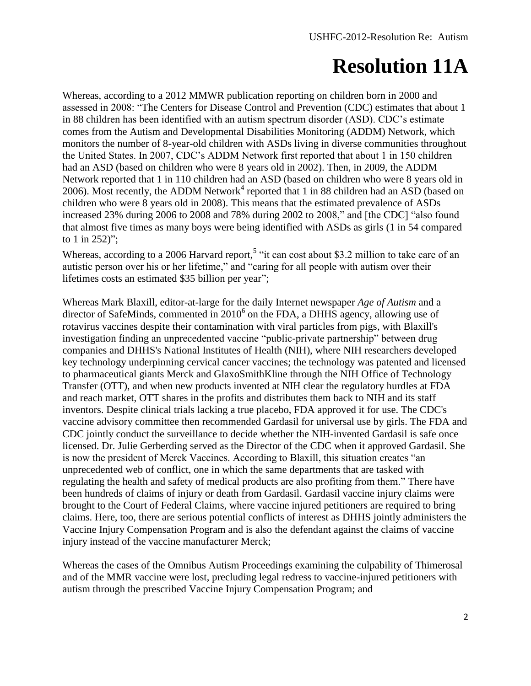Whereas, according to a 2012 MMWR publication reporting on children born in 2000 and assessed in 2008: "The Centers for Disease Control and Prevention (CDC) estimates that about 1 in 88 children has been identified with an autism spectrum disorder (ASD). CDC's estimate comes from the Autism and Developmental Disabilities Monitoring (ADDM) Network, which monitors the number of 8-year-old children with ASDs living in diverse communities throughout the United States. In 2007, CDC's ADDM Network first reported that about 1 in 150 children had an ASD (based on children who were 8 years old in 2002). Then, in 2009, the ADDM Network reported that 1 in 110 children had an ASD (based on children who were 8 years old in 2006). Most recently, the ADDM Network<sup>4</sup> reported that 1 in 88 children had an ASD (based on children who were 8 years old in 2008). This means that the estimated prevalence of ASDs increased 23% during 2006 to 2008 and 78% during 2002 to 2008," and [the CDC] "also found that almost five times as many boys were being identified with ASDs as girls (1 in 54 compared to 1 in 252)";

Whereas, according to a 2006 Harvard report,<sup>5</sup> "it can cost about \$3.2 million to take care of an autistic person over his or her lifetime," and "caring for all people with autism over their lifetimes costs an estimated \$35 billion per year";

Whereas Mark Blaxill, editor-at-large for the daily Internet newspaper *Age of Autism* and a director of SafeMinds, commented in 2010<sup>6</sup> on the FDA, a DHHS agency, allowing use of rotavirus vaccines despite their contamination with viral particles from pigs, with Blaxill's investigation finding an unprecedented vaccine "public-private partnership" between drug companies and DHHS's National Institutes of Health (NIH), where NIH researchers developed key technology underpinning cervical cancer vaccines; the technology was patented and licensed to pharmaceutical giants Merck and GlaxoSmithKline through the NIH Office of Technology Transfer (OTT), and when new products invented at NIH clear the regulatory hurdles at FDA and reach market, OTT shares in the profits and distributes them back to NIH and its staff inventors. Despite clinical trials lacking a true placebo, FDA approved it for use. The CDC's vaccine advisory committee then recommended Gardasil for universal use by girls. The FDA and CDC jointly conduct the surveillance to decide whether the NIH-invented Gardasil is safe once licensed. Dr. Julie Gerberding served as the Director of the CDC when it approved Gardasil. She is now the president of Merck Vaccines. According to Blaxill, this situation creates "an unprecedented web of conflict, one in which the same departments that are tasked with regulating the health and safety of medical products are also profiting from them." There have been hundreds of claims of injury or death from Gardasil. Gardasil vaccine injury claims were brought to the Court of Federal Claims, where vaccine injured petitioners are required to bring claims. Here, too, there are serious potential conflicts of interest as DHHS jointly administers the Vaccine Injury Compensation Program and is also the defendant against the claims of vaccine injury instead of the vaccine manufacturer Merck;

Whereas the cases of the Omnibus Autism Proceedings examining the culpability of Thimerosal and of the MMR vaccine were lost, precluding legal redress to vaccine-injured petitioners with autism through the prescribed Vaccine Injury Compensation Program; and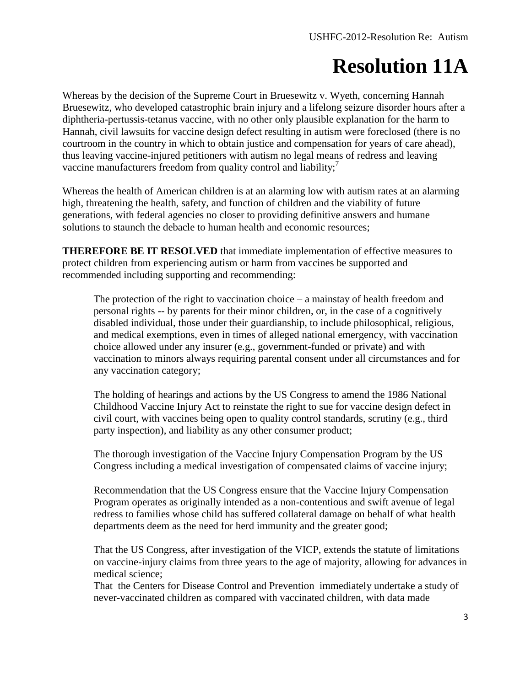Whereas by the decision of the Supreme Court in Bruesewitz v. Wyeth, concerning Hannah Bruesewitz, who developed catastrophic brain injury and a lifelong seizure disorder hours after a diphtheria-pertussis-tetanus vaccine, with no other only plausible explanation for the harm to Hannah, civil lawsuits for vaccine design defect resulting in autism were foreclosed (there is no courtroom in the country in which to obtain justice and compensation for years of care ahead), thus leaving vaccine-injured petitioners with autism no legal means of redress and leaving vaccine manufacturers freedom from quality control and liability;<sup>7</sup>

Whereas the health of American children is at an alarming low with autism rates at an alarming high, threatening the health, safety, and function of children and the viability of future generations, with federal agencies no closer to providing definitive answers and humane solutions to staunch the debacle to human health and economic resources;

**THEREFORE BE IT RESOLVED** that immediate implementation of effective measures to protect children from experiencing autism or harm from vaccines be supported and recommended including supporting and recommending:

The protection of the right to vaccination choice – a mainstay of health freedom and personal rights -- by parents for their minor children, or, in the case of a cognitively disabled individual, those under their guardianship, to include philosophical, religious, and medical exemptions, even in times of alleged national emergency, with vaccination choice allowed under any insurer (e.g., government-funded or private) and with vaccination to minors always requiring parental consent under all circumstances and for any vaccination category;

The holding of hearings and actions by the US Congress to amend the 1986 National Childhood Vaccine Injury Act to reinstate the right to sue for vaccine design defect in civil court, with vaccines being open to quality control standards, scrutiny (e.g., third party inspection), and liability as any other consumer product;

The thorough investigation of the Vaccine Injury Compensation Program by the US Congress including a medical investigation of compensated claims of vaccine injury;

Recommendation that the US Congress ensure that the Vaccine Injury Compensation Program operates as originally intended as a non-contentious and swift avenue of legal redress to families whose child has suffered collateral damage on behalf of what health departments deem as the need for herd immunity and the greater good;

That the US Congress, after investigation of the VICP, extends the statute of limitations on vaccine-injury claims from three years to the age of majority, allowing for advances in medical science;

That the Centers for Disease Control and Prevention immediately undertake a study of never-vaccinated children as compared with vaccinated children, with data made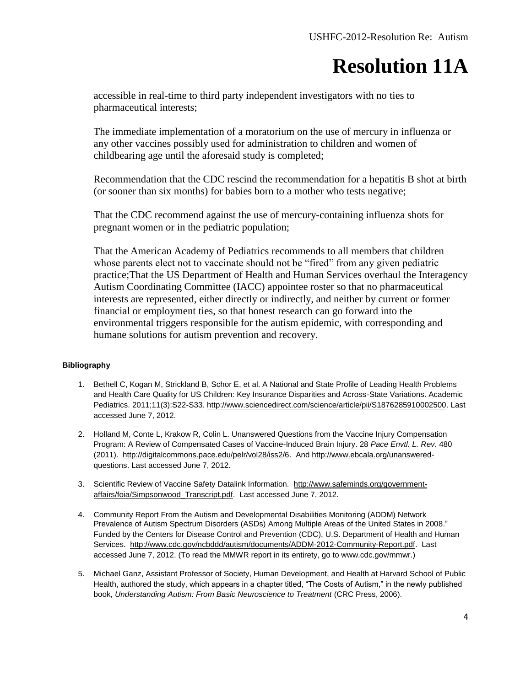accessible in real-time to third party independent investigators with no ties to pharmaceutical interests;

The immediate implementation of a moratorium on the use of mercury in influenza or any other vaccines possibly used for administration to children and women of childbearing age until the aforesaid study is completed;

Recommendation that the CDC rescind the recommendation for a hepatitis B shot at birth (or sooner than six months) for babies born to a mother who tests negative;

That the CDC recommend against the use of mercury-containing influenza shots for pregnant women or in the pediatric population;

That the American Academy of Pediatrics recommends to all members that children whose parents elect not to vaccinate should not be "fired" from any given pediatric practice;That the US Department of Health and Human Services overhaul the Interagency Autism Coordinating Committee (IACC) appointee roster so that no pharmaceutical interests are represented, either directly or indirectly, and neither by current or former financial or employment ties, so that honest research can go forward into the environmental triggers responsible for the autism epidemic, with corresponding and humane solutions for autism prevention and recovery.

#### **Bibliography**

- 1. Bethell C, Kogan M, Strickland B, Schor E, et al. A National and State Profile of Leading Health Problems and Health Care Quality for US Children: Key Insurance Disparities and Across-State Variations. Academic Pediatrics. 2011;11(3):S22-S33[. http://www.sciencedirect.com/science/article/pii/S1876285910002500.](http://www.sciencedirect.com/science/article/pii/S1876285910002500) Last accessed June 7, 2012.
- 2. Holland M, Conte L, Krakow R, Colin L. Unanswered Questions from the Vaccine Injury Compensation Program: A Review of Compensated Cases of Vaccine-Induced Brain Injury. 28 *Pace Envtl. L. Rev*. 480 (2011). [http://digitalcommons.pace.edu/pelr/vol28/iss2/6.](http://digitalcommons.pace.edu/pelr/vol28/iss2/6) And [http://www.ebcala.org/unanswered](http://www.ebcala.org/unanswered-questions)[questions.](http://www.ebcala.org/unanswered-questions) Last accessed June 7, 2012.
- 3. Scientific Review of Vaccine Safety Datalink Information. [http://www.safeminds.org/government](http://www.safeminds.org/government-affairs/foia/Simpsonwood_Transcript.pdf)[affairs/foia/Simpsonwood\\_Transcript.pdf.](http://www.safeminds.org/government-affairs/foia/Simpsonwood_Transcript.pdf) Last accessed June 7, 2012.
- 4. Community Report From the Autism and Developmental Disabilities Monitoring (ADDM) Network Prevalence of Autism Spectrum Disorders (ASDs) Among Multiple Areas of the United States in 2008." Funded by the Centers for Disease Control and Prevention (CDC), U.S. Department of Health and Human Services. [http://www.cdc.gov/ncbddd/autism/documents/ADDM-2012-Community-Report.pdf.](http://www.cdc.gov/ncbddd/autism/documents/ADDM-2012-Community-Report.pdf) Last accessed June 7, 2012. (To read the MMWR report in its entirety, go to www.cdc.gov/mmwr.)
- 5. [Michael Ganz,](http://www.hsph.harvard.edu/faculty/michael-ganz) Assistant Professor of Society, Human Development, and Health at Harvard School of Public Health, authored the study, which appears in a chapter titled, "The Costs of Autism," in the newly published book, Understanding Autism: From Basic Neuroscience to Treatment (CRC Press, 2006).